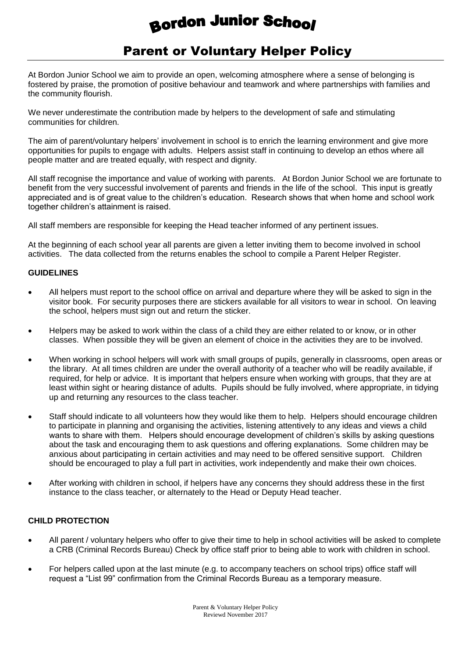# **Bordon Junior School**

# Parent or Voluntary Helper Policy

At Bordon Junior School we aim to provide an open, welcoming atmosphere where a sense of belonging is fostered by praise, the promotion of positive behaviour and teamwork and where partnerships with families and the community flourish.

We never underestimate the contribution made by helpers to the development of safe and stimulating communities for children.

The aim of parent/voluntary helpers' involvement in school is to enrich the learning environment and give more opportunities for pupils to engage with adults. Helpers assist staff in continuing to develop an ethos where all people matter and are treated equally, with respect and dignity.

All staff recognise the importance and value of working with parents. At Bordon Junior School we are fortunate to benefit from the very successful involvement of parents and friends in the life of the school. This input is greatly appreciated and is of great value to the children's education. Research shows that when home and school work together children's attainment is raised.

All staff members are responsible for keeping the Head teacher informed of any pertinent issues.

At the beginning of each school year all parents are given a letter inviting them to become involved in school activities. The data collected from the returns enables the school to compile a Parent Helper Register.

# **GUIDELINES**

- All helpers must report to the school office on arrival and departure where they will be asked to sign in the visitor book. For security purposes there are stickers available for all visitors to wear in school. On leaving the school, helpers must sign out and return the sticker.
- Helpers may be asked to work within the class of a child they are either related to or know, or in other classes. When possible they will be given an element of choice in the activities they are to be involved.
- When working in school helpers will work with small groups of pupils, generally in classrooms, open areas or the library. At all times children are under the overall authority of a teacher who will be readily available, if required, for help or advice. It is important that helpers ensure when working with groups, that they are at least within sight or hearing distance of adults. Pupils should be fully involved, where appropriate, in tidying up and returning any resources to the class teacher.
- Staff should indicate to all volunteers how they would like them to help. Helpers should encourage children to participate in planning and organising the activities, listening attentively to any ideas and views a child wants to share with them. Helpers should encourage development of children's skills by asking questions about the task and encouraging them to ask questions and offering explanations. Some children may be anxious about participating in certain activities and may need to be offered sensitive support. Children should be encouraged to play a full part in activities, work independently and make their own choices.
- After working with children in school, if helpers have any concerns they should address these in the first instance to the class teacher, or alternately to the Head or Deputy Head teacher.

# **CHILD PROTECTION**

- All parent / voluntary helpers who offer to give their time to help in school activities will be asked to complete a CRB (Criminal Records Bureau) Check by office staff prior to being able to work with children in school.
- For helpers called upon at the last minute (e.g. to accompany teachers on school trips) office staff will request a "List 99" confirmation from the Criminal Records Bureau as a temporary measure.